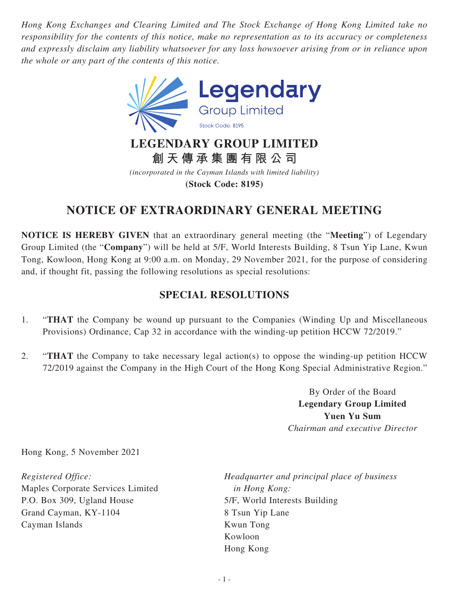*Hong Kong Exchanges and Clearing Limited and The Stock Exchange of Hong Kong Limited take no responsibility for the contents of this notice, make no representation as to its accuracy or completeness and expressly disclaim any liability whatsoever for any loss howsoever arising from or in reliance upon the whole or any part of the contents of this notice.*



**創天傳承集團有限公司**

*(incorporated in the Cayman Islands with limited liability)* **(Stock Code: 8195)**

## **NOTICE OF EXTRAORDINARY GENERAL MEETING**

**NOTICE IS HEREBY GIVEN** that an extraordinary general meeting (the "**Meeting**") of Legendary Group Limited (the "**Company**") will be held at 5/F, World Interests Building, 8 Tsun Yip Lane, Kwun Tong, Kowloon, Hong Kong at 9:00 a.m. on Monday, 29 November 2021, for the purpose of considering and, if thought fit, passing the following resolutions as special resolutions:

## **SPECIAL RESOLUTIONS**

- 1. "**THAT** the Company be wound up pursuant to the Companies (Winding Up and Miscellaneous Provisions) Ordinance, Cap 32 in accordance with the winding-up petition HCCW 72/2019."
- 2. "**THAT** the Company to take necessary legal action(s) to oppose the winding-up petition HCCW 72/2019 against the Company in the High Court of the Hong Kong Special Administrative Region."

By Order of the Board **Legendary Group Limited Yuen Yu Sum** *Chairman and executive Director*

Hong Kong, 5 November 2021

*Registered Office:* Maples Corporate Services Limited P.O. Box 309, Ugland House Grand Cayman, KY-1104 Cayman Islands

*Headquarter and principal place of business in Hong Kong:* 5/F, World Interests Building 8 Tsun Yip Lane Kwun Tong Kowloon Hong Kong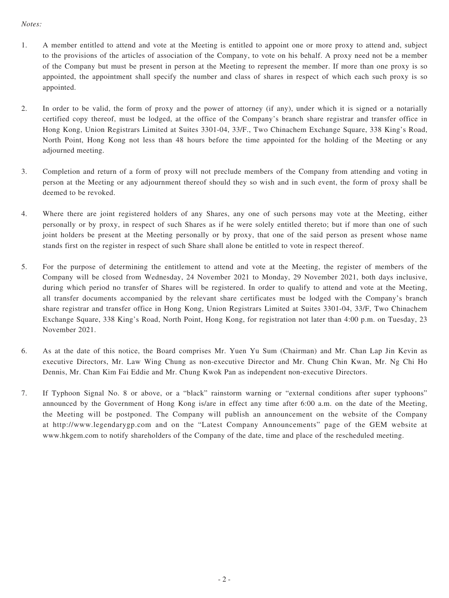## *Notes:*

- 1. A member entitled to attend and vote at the Meeting is entitled to appoint one or more proxy to attend and, subject to the provisions of the articles of association of the Company, to vote on his behalf. A proxy need not be a member of the Company but must be present in person at the Meeting to represent the member. If more than one proxy is so appointed, the appointment shall specify the number and class of shares in respect of which each such proxy is so appointed.
- 2. In order to be valid, the form of proxy and the power of attorney (if any), under which it is signed or a notarially certified copy thereof, must be lodged, at the office of the Company's branch share registrar and transfer office in Hong Kong, Union Registrars Limited at Suites 3301-04, 33/F., Two Chinachem Exchange Square, 338 King's Road, North Point, Hong Kong not less than 48 hours before the time appointed for the holding of the Meeting or any adjourned meeting.
- 3. Completion and return of a form of proxy will not preclude members of the Company from attending and voting in person at the Meeting or any adjournment thereof should they so wish and in such event, the form of proxy shall be deemed to be revoked.
- 4. Where there are joint registered holders of any Shares, any one of such persons may vote at the Meeting, either personally or by proxy, in respect of such Shares as if he were solely entitled thereto; but if more than one of such joint holders be present at the Meeting personally or by proxy, that one of the said person as present whose name stands first on the register in respect of such Share shall alone be entitled to vote in respect thereof.
- 5. For the purpose of determining the entitlement to attend and vote at the Meeting, the register of members of the Company will be closed from Wednesday, 24 November 2021 to Monday, 29 November 2021, both days inclusive, during which period no transfer of Shares will be registered. In order to qualify to attend and vote at the Meeting, all transfer documents accompanied by the relevant share certificates must be lodged with the Company's branch share registrar and transfer office in Hong Kong, Union Registrars Limited at Suites 3301-04, 33/F, Two Chinachem Exchange Square, 338 King's Road, North Point, Hong Kong, for registration not later than 4:00 p.m. on Tuesday, 23 November 2021.
- 6. As at the date of this notice, the Board comprises Mr. Yuen Yu Sum (Chairman) and Mr. Chan Lap Jin Kevin as executive Directors, Mr. Law Wing Chung as non-executive Director and Mr. Chung Chin Kwan, Mr. Ng Chi Ho Dennis, Mr. Chan Kim Fai Eddie and Mr. Chung Kwok Pan as independent non-executive Directors.
- 7. If Typhoon Signal No. 8 or above, or a "black" rainstorm warning or "external conditions after super typhoons" announced by the Government of Hong Kong is/are in effect any time after 6:00 a.m. on the date of the Meeting, the Meeting will be postponed. The Company will publish an announcement on the website of the Company at http://www.legendarygp.com and on the "Latest Company Announcements" page of the GEM website at www.hkgem.com to notify shareholders of the Company of the date, time and place of the rescheduled meeting.